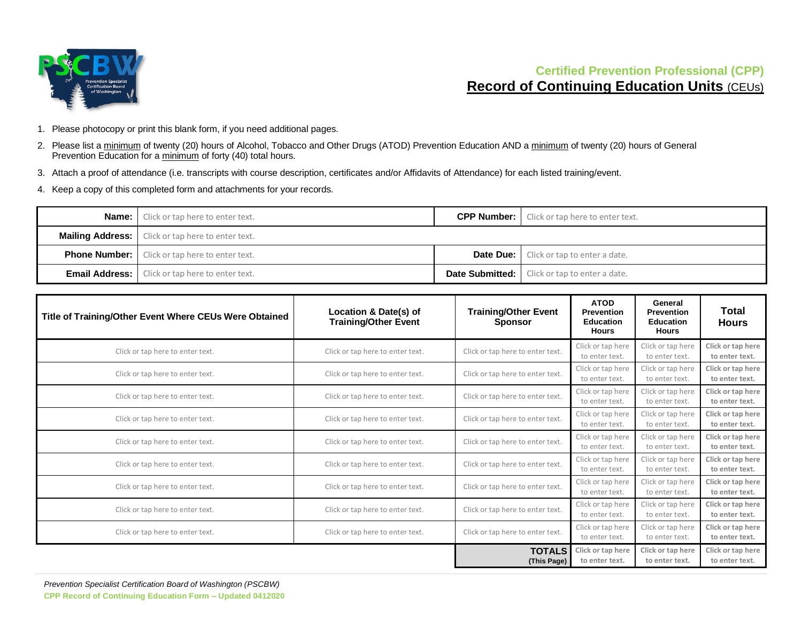

- 1. Please photocopy or print this blank form, if you need additional pages.
- 2. Please list a minimum of twenty (20) hours of Alcohol, Tobacco and Other Drugs (ATOD) Prevention Education AND a minimum of twenty (20) hours of General Prevention Education for a minimum of forty (40) total hours.
- 3. Attach a proof of attendance (i.e. transcripts with course description, certificates and/or Affidavits of Attendance) for each listed training/event.
- 4. Keep a copy of this completed form and attachments for your records.

| <b>Name:</b> Click or tap here to enter text.            |  | <b>CPP Number:</b>   Click or tap here to enter text. |  |  |  |
|----------------------------------------------------------|--|-------------------------------------------------------|--|--|--|
| <b>Mailing Address:</b> Click or tap here to enter text. |  |                                                       |  |  |  |
| <b>Phone Number:</b> Click or tap here to enter text.    |  | <b>Date Due:</b>   Click or tap to enter a date.      |  |  |  |
| <b>Email Address:</b>   Click or tap here to enter text. |  | <b>Date Submitted:</b> Click or tap to enter a date.  |  |  |  |

| Title of Training/Other Event Where CEUs Were Obtained | Location & Date(s) of<br><b>Training/Other Event</b> | <b>Training/Other Event</b><br><b>Sponsor</b> | <b>ATOD</b><br><b>Prevention</b><br><b>Education</b><br><b>Hours</b> | General<br><b>Prevention</b><br><b>Education</b><br><b>Hours</b> | Total<br><b>Hours</b>               |
|--------------------------------------------------------|------------------------------------------------------|-----------------------------------------------|----------------------------------------------------------------------|------------------------------------------------------------------|-------------------------------------|
| Click or tap here to enter text.                       | Click or tap here to enter text.                     | Click or tap here to enter text.              | Click or tap here<br>to enter text.                                  | Click or tap here<br>to enter text.                              | Click or tap here<br>to enter text. |
| Click or tap here to enter text.                       | Click or tap here to enter text.                     | Click or tap here to enter text.              | Click or tap here<br>to enter text.                                  | Click or tap here<br>to enter text.                              | Click or tap here<br>to enter text. |
| Click or tap here to enter text.                       | Click or tap here to enter text.                     | Click or tap here to enter text.              | Click or tap here<br>to enter text.                                  | Click or tap here<br>to enter text.                              | Click or tap here<br>to enter text. |
| Click or tap here to enter text.                       | Click or tap here to enter text.                     | Click or tap here to enter text.              | Click or tap here<br>to enter text.                                  | Click or tap here<br>to enter text.                              | Click or tap here<br>to enter text. |
| Click or tap here to enter text.                       | Click or tap here to enter text.                     | Click or tap here to enter text.              | Click or tap here<br>to enter text.                                  | Click or tap here<br>to enter text.                              | Click or tap here<br>to enter text. |
| Click or tap here to enter text.                       | Click or tap here to enter text.                     | Click or tap here to enter text.              | Click or tap here<br>to enter text.                                  | Click or tap here<br>to enter text.                              | Click or tap here<br>to enter text. |
| Click or tap here to enter text.                       | Click or tap here to enter text.                     | Click or tap here to enter text.              | Click or tap here<br>to enter text.                                  | Click or tap here<br>to enter text.                              | Click or tap here<br>to enter text. |
| Click or tap here to enter text.                       | Click or tap here to enter text.                     | Click or tap here to enter text.              | Click or tap here<br>to enter text.                                  | Click or tap here<br>to enter text.                              | Click or tap here<br>to enter text. |
| Click or tap here to enter text.                       | Click or tap here to enter text.                     | Click or tap here to enter text.              | Click or tap here<br>to enter text.                                  | Click or tap here<br>to enter text.                              | Click or tap here<br>to enter text. |
|                                                        |                                                      | <b>TOTALS</b><br>(This Page)                  | Click or tap here<br>to enter text.                                  | Click or tap here<br>to enter text.                              | Click or tap here<br>to enter text. |